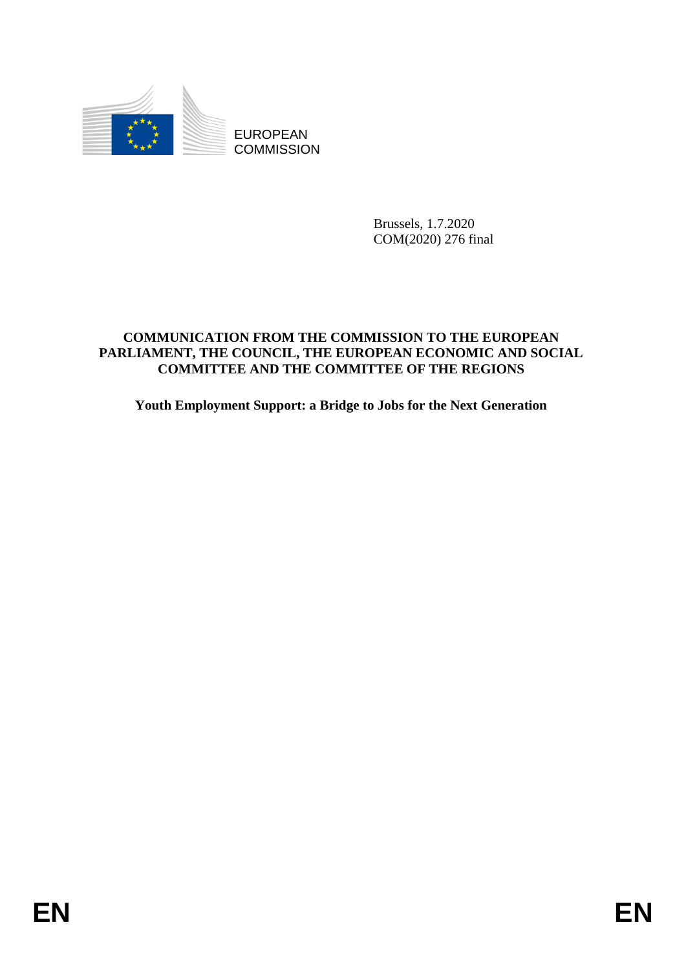

**COMMISSION** 

Brussels, 1.7.2020 COM(2020) 276 final

# EUROPEAN<br>
EUROPEAN<br>
ENGEL COMMISSION<br>
ENGEL COMMISSION<br>
ENGEL COMMISSION<br>
COMPARE CONSULTER CONSULT TO THE EUROPEAN<br>
FARLIAMENT, THE COUNCIL, THE EUROPEAN ECONOMIC AND SOCIAL<br>
FARLIAMENT, THE COUNCIL, THE EUROPEAN ECONOMIC **COMMUNICATION FROM THE COMMISSION TO THE EUROPEAN PARLIAMENT, THE COUNCIL, THE EUROPEAN ECONOMIC AND SOCIAL COMMITTEE AND THE COMMITTEE OF THE REGIONS**

**Youth Employment Support: a Bridge to Jobs for the Next Generation**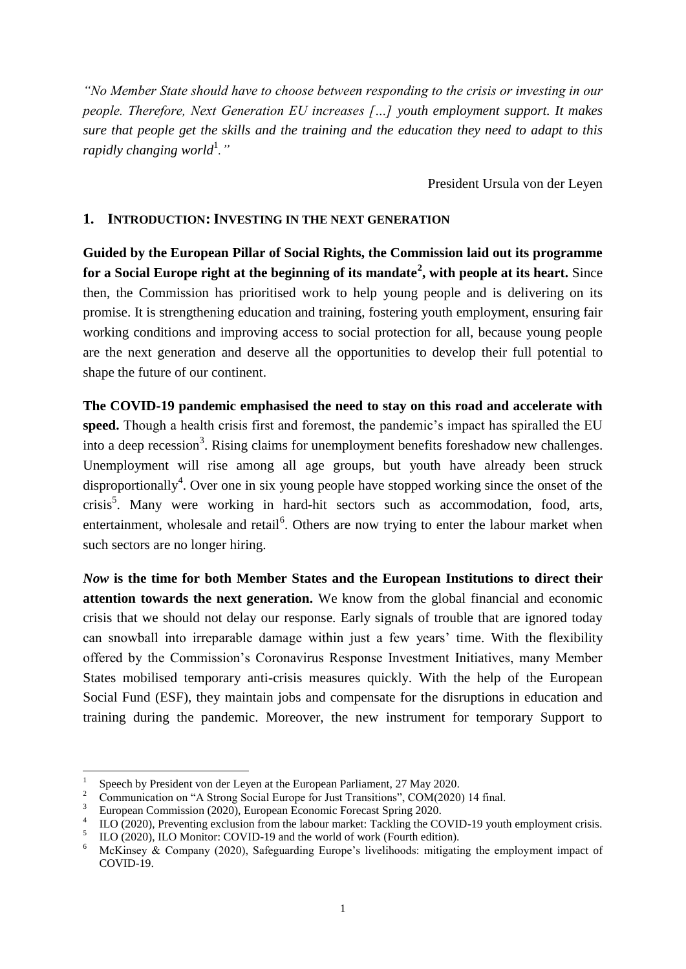*"No Member State should have to choose between responding to the crisis or investing in our people. Therefore, Next Generation EU increases […] youth employment support. It makes sure that people get the skills and the training and the education they need to adapt to this rapidly changing world*<sup>1</sup>."

President Ursula von der Leyen

### **1. INTRODUCTION: INVESTING IN THE NEXT GENERATION**

**Guided by the European Pillar of Social Rights, the Commission laid out its programme for a Social Europe right at the beginning of its mandate<sup>2</sup> , with people at its heart.** Since then, the Commission has prioritised work to help young people and is delivering on its promise. It is strengthening education and training, fostering youth employment, ensuring fair working conditions and improving access to social protection for all, because young people are the next generation and deserve all the opportunities to develop their full potential to shape the future of our continent.

**The COVID-19 pandemic emphasised the need to stay on this road and accelerate with speed.** Though a health crisis first and foremost, the pandemic's impact has spiralled the EU into a deep recession<sup>3</sup>. Rising claims for unemployment benefits foreshadow new challenges. Unemployment will rise among all age groups, but youth have already been struck disproportionally<sup>4</sup>. Over one in six young people have stopped working since the onset of the crisis<sup>5</sup>. Many were working in hard-hit sectors such as accommodation, food, arts, entertainment, wholesale and retail<sup>6</sup>. Others are now trying to enter the labour market when such sectors are no longer hiring.

*Now* **is the time for both Member States and the European Institutions to direct their attention towards the next generation.** We know from the global financial and economic crisis that we should not delay our response. Early signals of trouble that are ignored today can snowball into irreparable damage within just a few years' time. With the flexibility offered by the Commission's Coronavirus Response Investment Initiatives, many Member States mobilised temporary anti-crisis measures quickly. With the help of the European Social Fund (ESF), they maintain jobs and compensate for the disruptions in education and training during the pandemic. Moreover, the new instrument for temporary Support to

1

<sup>1</sup> Speech by President von der Leyen at the European Parliament, 27 May 2020.

<sup>&</sup>lt;sup>2</sup> Communication on "A Strong Social Europe for Just Transitions", COM(2020) 14 final.

<sup>3</sup> European Commission (2020), European Economic Forecast Spring 2020.

<sup>4</sup> ILO (2020), Preventing exclusion from the labour market: Tackling the COVID-19 youth employment crisis.

<sup>5</sup> ILO (2020), ILO Monitor: COVID-19 and the world of work (Fourth edition).

<sup>&</sup>lt;sup>6</sup> McKinsey & Company (2020), Safeguarding Europe's livelihoods: mitigating the employment impact of COVID-19.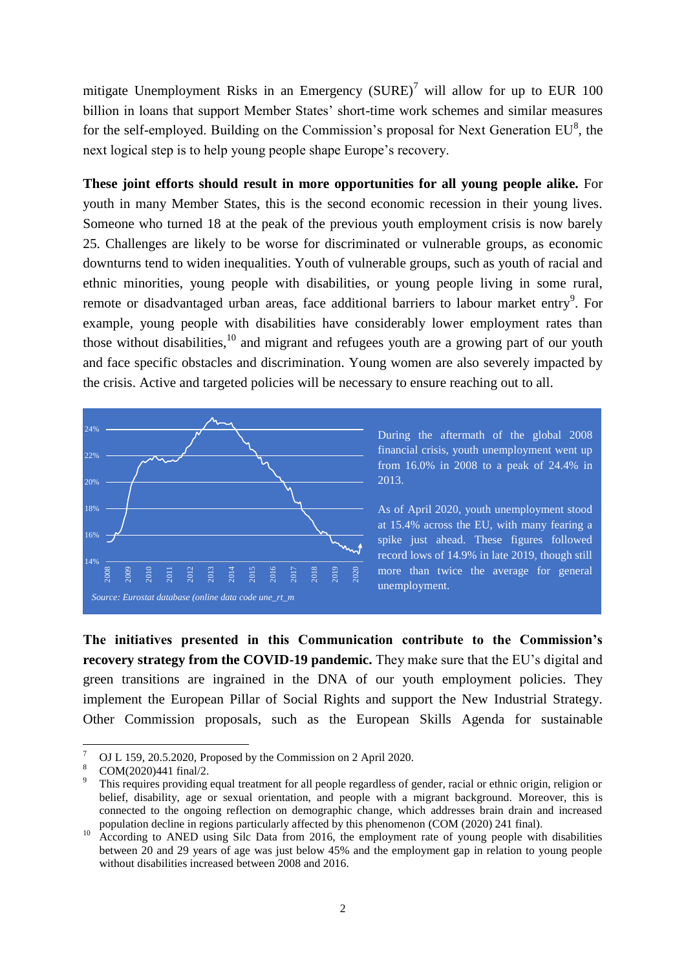mitigate Unemployment Risks in an Emergency  $(SURE)^7$  will allow for up to EUR 100 billion in loans that support Member States' short-time work schemes and similar measures for the self-employed. Building on the Commission's proposal for Next Generation  $EU^8$ , the next logical step is to help young people shape Europe's recovery.

**These joint efforts should result in more opportunities for all young people alike.** For youth in many Member States, this is the second economic recession in their young lives. Someone who turned 18 at the peak of the previous youth employment crisis is now barely 25. Challenges are likely to be worse for discriminated or vulnerable groups, as economic downturns tend to widen inequalities. Youth of vulnerable groups, such as youth of racial and ethnic minorities, young people with disabilities, or young people living in some rural, remote or disadvantaged urban areas, face additional barriers to labour market entry<sup>9</sup>. For example, young people with disabilities have considerably lower employment rates than those without disabilities,<sup>10</sup> and migrant and refugees youth are a growing part of our youth and face specific obstacles and discrimination. Young women are also severely impacted by the crisis. Active and targeted policies will be necessary to ensure reaching out to all.



**The initiatives presented in this Communication contribute to the Commission's recovery strategy from the COVID-19 pandemic.** They make sure that the EU's digital and green transitions are ingrained in the DNA of our youth employment policies. They implement the European Pillar of Social Rights and support the New Industrial Strategy. Other Commission proposals, such as the European Skills Agenda for sustainable

 $\overline{7}$  $\frac{7}{8}$  OJ L 159, 20.5.2020, Proposed by the Commission on 2 April 2020.

 $\frac{8}{9}$  COM(2020)441 final/2.

<sup>9</sup> This requires providing equal treatment for all people regardless of gender, racial or ethnic origin, religion or belief, disability, age or sexual orientation, and people with a migrant background. Moreover, this is connected to the ongoing reflection on demographic change, which addresses brain drain and increased population decline in regions particularly affected by this phenomenon (COM (2020) 241 final).

<sup>&</sup>lt;sup>10</sup> According to ANED using Silc Data from 2016, the employment rate of young people with disabilities between 20 and 29 years of age was just below 45% and the employment gap in relation to young people without disabilities increased between 2008 and 2016.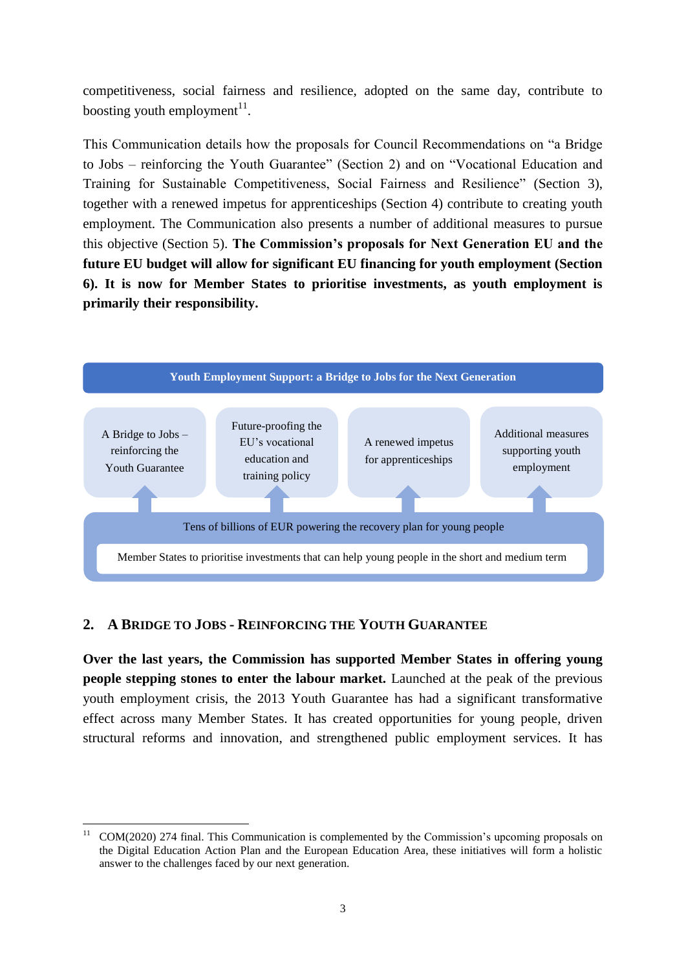competitiveness, social fairness and resilience, adopted on the same day, contribute to boosting youth employment $11$ .

This Communication details how the proposals for Council Recommendations on "a Bridge to Jobs – reinforcing the Youth Guarantee" (Section 2) and on "Vocational Education and Training for Sustainable Competitiveness, Social Fairness and Resilience" (Section 3), together with a renewed impetus for apprenticeships (Section 4) contribute to creating youth employment. The Communication also presents a number of additional measures to pursue this objective (Section 5). **The Commission's proposals for Next Generation EU and the future EU budget will allow for significant EU financing for youth employment (Section 6). It is now for Member States to prioritise investments, as youth employment is primarily their responsibility.**



# **2. A BRIDGE TO JOBS - REINFORCING THE YOUTH GUARANTEE**

1

**Over the last years, the Commission has supported Member States in offering young people stepping stones to enter the labour market.** Launched at the peak of the previous youth employment crisis, the 2013 Youth Guarantee has had a significant transformative effect across many Member States. It has created opportunities for young people, driven structural reforms and innovation, and strengthened public employment services. It has

<sup>11</sup> COM(2020) 274 final. This Communication is complemented by the Commission's upcoming proposals on the Digital Education Action Plan and the European Education Area, these initiatives will form a holistic answer to the challenges faced by our next generation.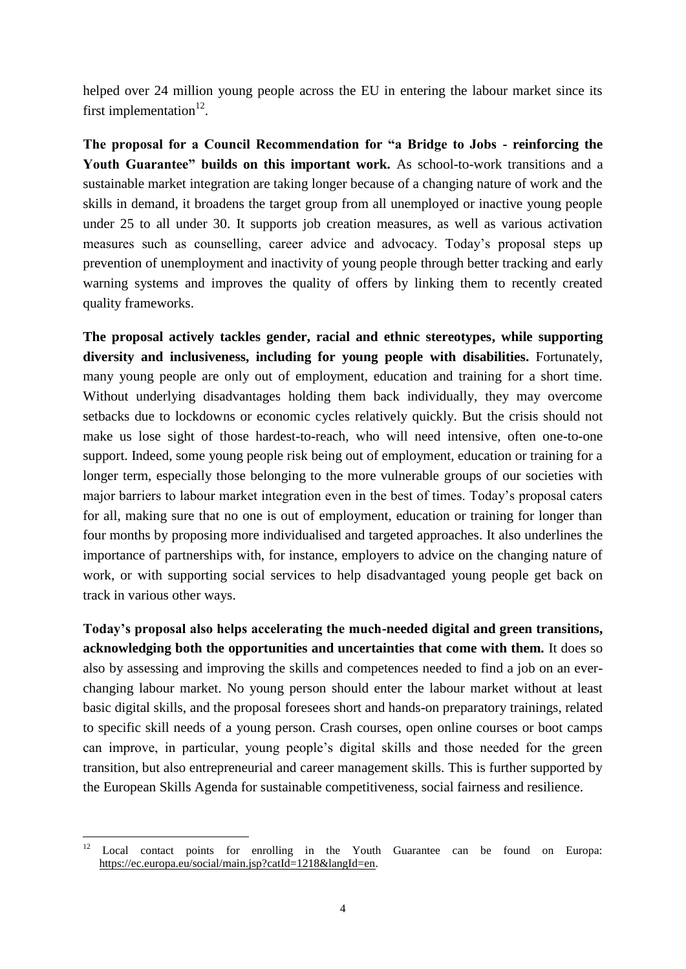helped over 24 million young people across the EU in entering the labour market since its first implementation $^{12}$ .

**The proposal for a Council Recommendation for "a Bridge to Jobs - reinforcing the**  Youth Guarantee" builds on this important work. As school-to-work transitions and a sustainable market integration are taking longer because of a changing nature of work and the skills in demand, it broadens the target group from all unemployed or inactive young people under 25 to all under 30. It supports job creation measures, as well as various activation measures such as counselling, career advice and advocacy. Today's proposal steps up prevention of unemployment and inactivity of young people through better tracking and early warning systems and improves the quality of offers by linking them to recently created quality frameworks.

**The proposal actively tackles gender, racial and ethnic stereotypes, while supporting diversity and inclusiveness, including for young people with disabilities.** Fortunately, many young people are only out of employment, education and training for a short time. Without underlying disadvantages holding them back individually, they may overcome setbacks due to lockdowns or economic cycles relatively quickly. But the crisis should not make us lose sight of those hardest-to-reach, who will need intensive, often one-to-one support. Indeed, some young people risk being out of employment, education or training for a longer term, especially those belonging to the more vulnerable groups of our societies with major barriers to labour market integration even in the best of times. Today's proposal caters for all, making sure that no one is out of employment, education or training for longer than four months by proposing more individualised and targeted approaches. It also underlines the importance of partnerships with, for instance, employers to advice on the changing nature of work, or with supporting social services to help disadvantaged young people get back on track in various other ways.

**Today's proposal also helps accelerating the much-needed digital and green transitions, acknowledging both the opportunities and uncertainties that come with them.** It does so also by assessing and improving the skills and competences needed to find a job on an everchanging labour market. No young person should enter the labour market without at least basic digital skills, and the proposal foresees short and hands-on preparatory trainings, related to specific skill needs of a young person. Crash courses, open online courses or boot camps can improve, in particular, young people's digital skills and those needed for the green transition, but also entrepreneurial and career management skills. This is further supported by the European Skills Agenda for sustainable competitiveness, social fairness and resilience.

 $12$ Local contact points for enrolling in the Youth Guarantee can be found on Europa: [https://ec.europa.eu/social/main.jsp?catId=1218&langId=en.](https://ec.europa.eu/social/main.jsp?catId=1218&langId=en)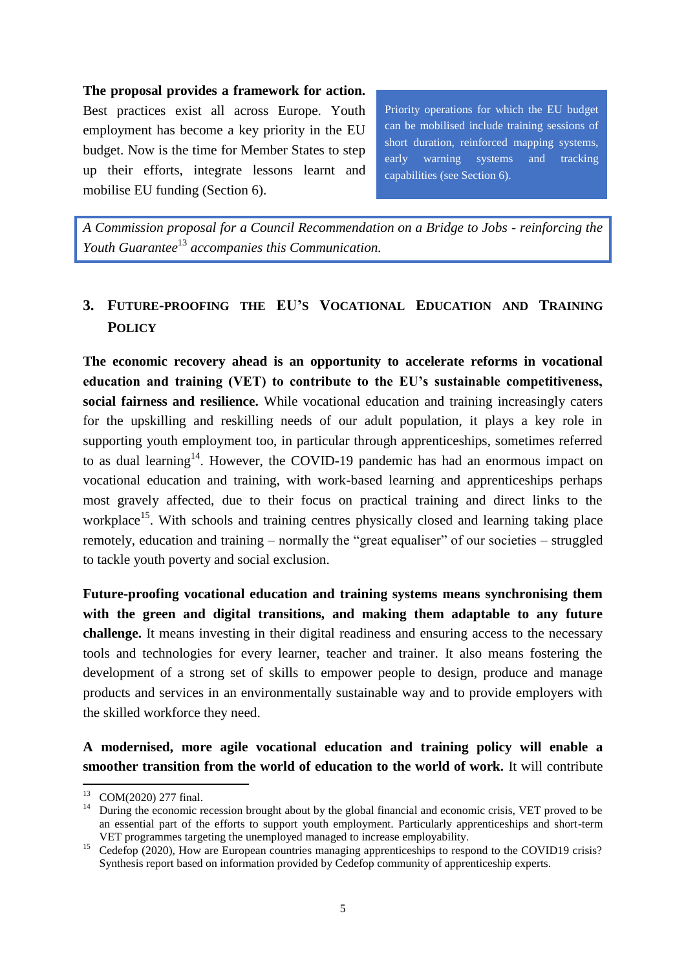# **The proposal provides a framework for action.**

Best practices exist all across Europe. Youth employment has become a key priority in the EU budget. Now is the time for Member States to step up their efforts, integrate lessons learnt and mobilise EU funding (Section 6).

Priority operations for which the EU budget can be mobilised include training sessions of short duration, reinforced mapping systems, early warning systems and tracking capabilities (see Section 6).

*A Commission proposal for a Council Recommendation on a Bridge to Jobs - reinforcing the Youth Guarantee*<sup>13</sup> *accompanies this Communication.*

# **3. FUTURE-PROOFING THE EU'S VOCATIONAL EDUCATION AND TRAINING POLICY**

**The economic recovery ahead is an opportunity to accelerate reforms in vocational education and training (VET) to contribute to the EU's sustainable competitiveness, social fairness and resilience.** While vocational education and training increasingly caters for the upskilling and reskilling needs of our adult population, it plays a key role in supporting youth employment too, in particular through apprenticeships, sometimes referred to as dual learning<sup>14</sup>. However, the COVID-19 pandemic has had an enormous impact on vocational education and training, with work-based learning and apprenticeships perhaps most gravely affected, due to their focus on practical training and direct links to the workplace<sup>15</sup>. With schools and training centres physically closed and learning taking place remotely, education and training – normally the "great equaliser" of our societies – struggled to tackle youth poverty and social exclusion.

**Future-proofing vocational education and training systems means synchronising them with the green and digital transitions, and making them adaptable to any future challenge.** It means investing in their digital readiness and ensuring access to the necessary tools and technologies for every learner, teacher and trainer. It also means fostering the development of a strong set of skills to empower people to design, produce and manage products and services in an environmentally sustainable way and to provide employers with the skilled workforce they need.

**A modernised, more agile vocational education and training policy will enable a smoother transition from the world of education to the world of work.** It will contribute

1

<sup>&</sup>lt;sup>13</sup> COM(2020) 277 final.

<sup>&</sup>lt;sup>14</sup> During the economic recession brought about by the global financial and economic crisis, VET proved to be an essential part of the efforts to support youth employment. Particularly apprenticeships and short-term VET programmes targeting the unemployed managed to increase employability.

<sup>&</sup>lt;sup>15</sup> Cedefop (2020), How are European countries managing apprenticeships to respond to the COVID19 crisis? Synthesis report based on information provided by Cedefop community of apprenticeship experts.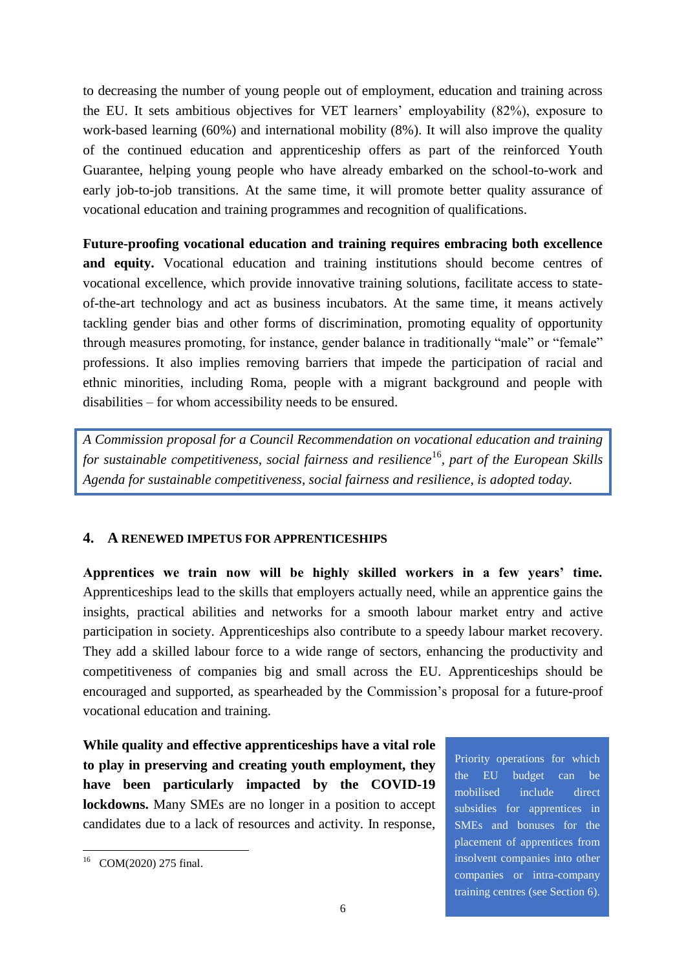to decreasing the number of young people out of employment, education and training across the EU. It sets ambitious objectives for VET learners' employability (82%), exposure to work-based learning (60%) and international mobility (8%). It will also improve the quality of the continued education and apprenticeship offers as part of the reinforced Youth Guarantee, helping young people who have already embarked on the school-to-work and early job-to-job transitions. At the same time, it will promote better quality assurance of vocational education and training programmes and recognition of qualifications.

**Future-proofing vocational education and training requires embracing both excellence and equity.** Vocational education and training institutions should become centres of vocational excellence, which provide innovative training solutions, facilitate access to stateof-the-art technology and act as business incubators. At the same time, it means actively tackling gender bias and other forms of discrimination, promoting equality of opportunity through measures promoting, for instance, gender balance in traditionally "male" or "female" professions. It also implies removing barriers that impede the participation of racial and ethnic minorities, including Roma, people with a migrant background and people with disabilities – for whom accessibility needs to be ensured.

*A Commission proposal for a Council Recommendation on vocational education and training for sustainable competitiveness, social fairness and resilience*<sup>16</sup>*, part of the European Skills Agenda for sustainable competitiveness, social fairness and resilience, is adopted today.*

# **4. A RENEWED IMPETUS FOR APPRENTICESHIPS**

**Apprentices we train now will be highly skilled workers in a few years' time.** Apprenticeships lead to the skills that employers actually need, while an apprentice gains the insights, practical abilities and networks for a smooth labour market entry and active participation in society. Apprenticeships also contribute to a speedy labour market recovery. They add a skilled labour force to a wide range of sectors, enhancing the productivity and competitiveness of companies big and small across the EU. Apprenticeships should be encouraged and supported, as spearheaded by the Commission's proposal for a future-proof vocational education and training.

**While quality and effective apprenticeships have a vital role to play in preserving and creating youth employment, they have been particularly impacted by the COVID-19 lockdowns.** Many SMEs are no longer in a position to accept candidates due to a lack of resources and activity. In response,

Priority operations for which the EU budget can be mobilised include direct subsidies for apprentices in SMEs and bonuses for the placement of apprentices from insolvent companies into other companies or intra-company training centres (see Section 6).

<sup>1</sup> <sup>16</sup> COM(2020) 275 final.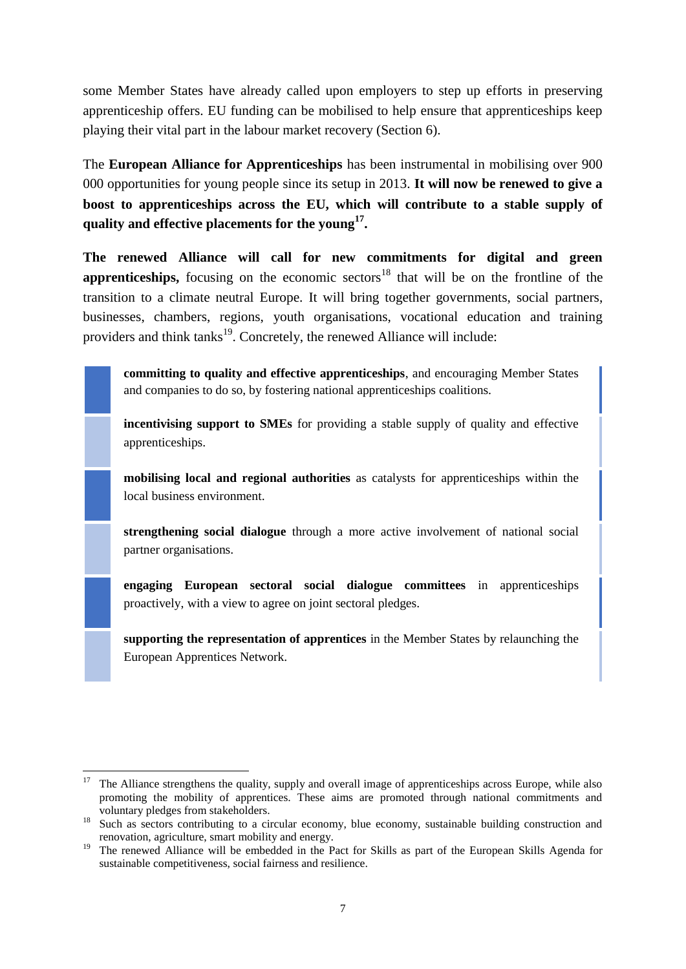some Member States have already called upon employers to step up efforts in preserving apprenticeship offers. EU funding can be mobilised to help ensure that apprenticeships keep playing their vital part in the labour market recovery (Section 6).

The **European Alliance for Apprenticeships** has been instrumental in mobilising over 900 000 opportunities for young people since its setup in 2013. **It will now be renewed to give a boost to apprenticeships across the EU, which will contribute to a stable supply of quality and effective placements for the young<sup>17</sup> .**

**The renewed Alliance will call for new commitments for digital and green apprenticeships,** focusing on the economic sectors<sup>18</sup> that will be on the frontline of the transition to a climate neutral Europe. It will bring together governments, social partners, businesses, chambers, regions, youth organisations, vocational education and training providers and think tanks<sup>19</sup>. Concretely, the renewed Alliance will include:

**committing to quality and effective apprenticeships**, and encouraging Member States and companies to do so, by fostering national apprenticeships coalitions.

**incentivising support to SMEs** for providing a stable supply of quality and effective apprenticeships.

**mobilising local and regional authorities** as catalysts for apprenticeships within the local business environment.

**strengthening social dialogue** through a more active involvement of national social partner organisations.

**engaging European sectoral social dialogue committees** in apprenticeships proactively, with a view to agree on joint sectoral pledges.

**supporting the representation of apprentices** in the Member States by relaunching the European Apprentices Network.

<sup>1</sup> <sup>17</sup> The Alliance strengthens the quality, supply and overall image of apprenticeships across Europe, while also promoting the mobility of apprentices. These aims are promoted through national commitments and voluntary pledges from stakeholders.

<sup>&</sup>lt;sup>18</sup> Such as sectors contributing to a circular economy, blue economy, sustainable building construction and renovation, agriculture, smart mobility and energy.

<sup>&</sup>lt;sup>19</sup> The renewed Alliance will be embedded in the Pact for Skills as part of the European Skills Agenda for sustainable competitiveness, social fairness and resilience.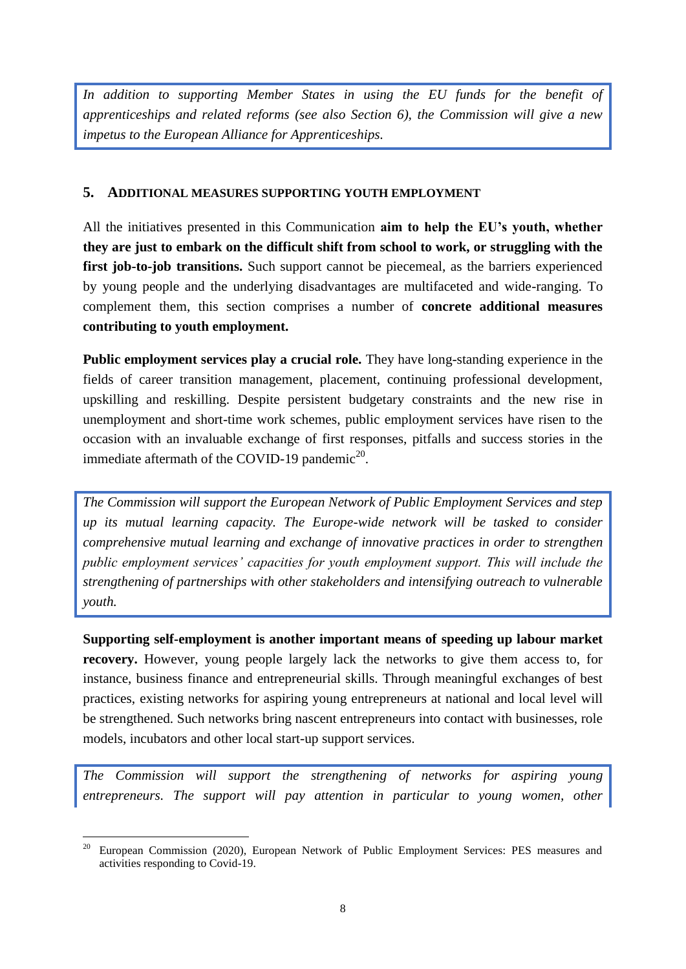*In addition to supporting Member States in using the EU funds for the benefit of apprenticeships and related reforms (see also Section 6), the Commission will give a new impetus to the European Alliance for Apprenticeships.* 

# **5. ADDITIONAL MEASURES SUPPORTING YOUTH EMPLOYMENT**

All the initiatives presented in this Communication **aim to help the EU's youth, whether they are just to embark on the difficult shift from school to work, or struggling with the**  first job-to-job transitions. Such support cannot be piecemeal, as the barriers experienced by young people and the underlying disadvantages are multifaceted and wide-ranging. To complement them, this section comprises a number of **concrete additional measures contributing to youth employment.** 

**Public employment services play a crucial role.** They have long-standing experience in the fields of career transition management, placement, continuing professional development, upskilling and reskilling. Despite persistent budgetary constraints and the new rise in unemployment and short-time work schemes, public employment services have risen to the occasion with an invaluable exchange of first responses, pitfalls and success stories in the immediate aftermath of the COVID-19 pandemic<sup>20</sup>.

*The Commission will support the European Network of Public Employment Services and step up its mutual learning capacity. The Europe-wide network will be tasked to consider comprehensive mutual learning and exchange of innovative practices in order to strengthen public employment services' capacities for youth employment support. This will include the strengthening of partnerships with other stakeholders and intensifying outreach to vulnerable youth.* 

**Supporting self-employment is another important means of speeding up labour market recovery.** However, young people largely lack the networks to give them access to, for instance, business finance and entrepreneurial skills. Through meaningful exchanges of best practices, existing networks for aspiring young entrepreneurs at national and local level will be strengthened. Such networks bring nascent entrepreneurs into contact with businesses, role models, incubators and other local start-up support services.

*The Commission will support the strengthening of networks for aspiring young entrepreneurs. The support will pay attention in particular to young women, other* 

<sup>&</sup>lt;u>.</u> <sup>20</sup> European Commission (2020), European Network of Public Employment Services: PES measures and activities responding to Covid-19.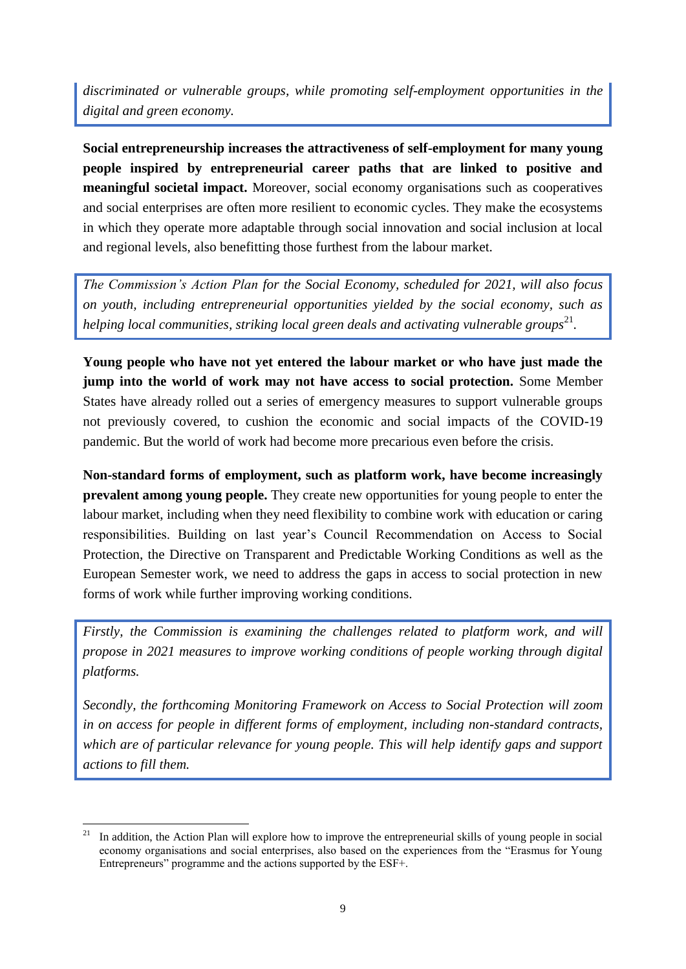*discriminated or vulnerable groups, while promoting self-employment opportunities in the digital and green economy.* 

**Social entrepreneurship increases the attractiveness of self-employment for many young people inspired by entrepreneurial career paths that are linked to positive and meaningful societal impact.** Moreover, social economy organisations such as cooperatives and social enterprises are often more resilient to economic cycles. They make the ecosystems in which they operate more adaptable through social innovation and social inclusion at local and regional levels, also benefitting those furthest from the labour market.

*The Commission's Action Plan for the Social Economy, scheduled for 2021, will also focus on youth, including entrepreneurial opportunities yielded by the social economy, such as*  helping local communities, striking local green deals and activating vulnerable groups<sup>21</sup>.

**Young people who have not yet entered the labour market or who have just made the jump into the world of work may not have access to social protection.** Some Member States have already rolled out a series of emergency measures to support vulnerable groups not previously covered, to cushion the economic and social impacts of the COVID-19 pandemic. But the world of work had become more precarious even before the crisis.

**Non-standard forms of employment, such as platform work, have become increasingly prevalent among young people.** They create new opportunities for young people to enter the labour market, including when they need flexibility to combine work with education or caring responsibilities. Building on last year's Council Recommendation on Access to Social Protection, the Directive on Transparent and Predictable Working Conditions as well as the European Semester work, we need to address the gaps in access to social protection in new forms of work while further improving working conditions.

*Firstly, the Commission is examining the challenges related to platform work, and will propose in 2021 measures to improve working conditions of people working through digital platforms.*

*Secondly, the forthcoming Monitoring Framework on Access to Social Protection will zoom in on access for people in different forms of employment, including non-standard contracts, which are of particular relevance for young people. This will help identify gaps and support actions to fill them.*

<sup>21</sup> In addition, the Action Plan will explore how to improve the entrepreneurial skills of young people in social economy organisations and social enterprises, also based on the experiences from the "Erasmus for Young Entrepreneurs" programme and the actions supported by the ESF+.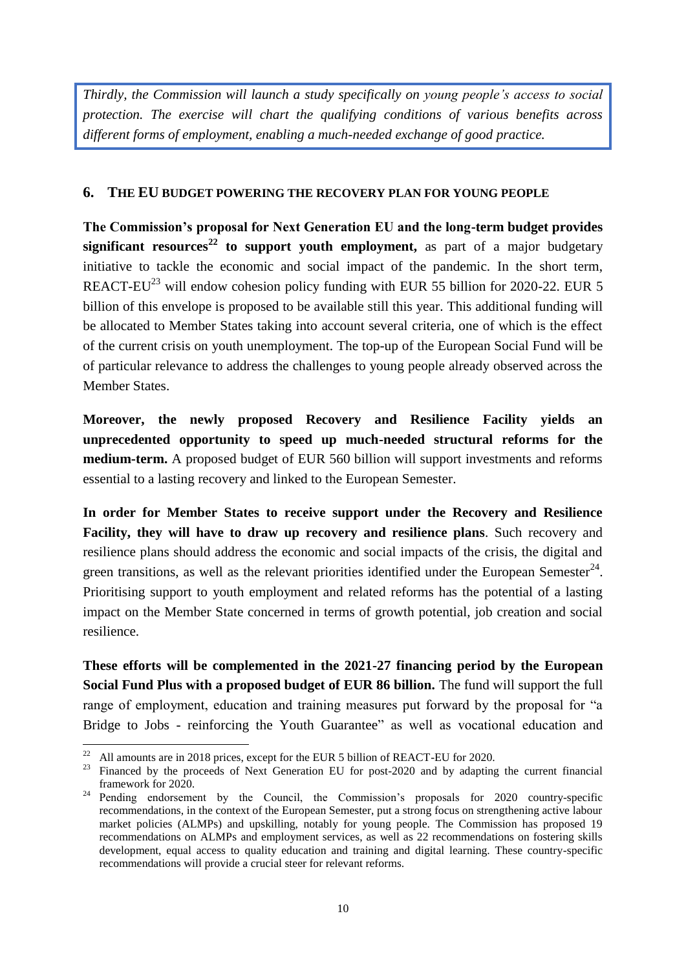*Thirdly, the Commission will launch a study specifically on young people's access to social protection. The exercise will chart the qualifying conditions of various benefits across different forms of employment, enabling a much-needed exchange of good practice.* 

# **6. THE EU BUDGET POWERING THE RECOVERY PLAN FOR YOUNG PEOPLE**

**The Commission's proposal for Next Generation EU and the long-term budget provides significant resources<sup>22</sup> to support youth employment,** as part of a major budgetary initiative to tackle the economic and social impact of the pandemic. In the short term, REACT-EU<sup>23</sup> will endow cohesion policy funding with EUR 55 billion for 2020-22. EUR 5 billion of this envelope is proposed to be available still this year. This additional funding will be allocated to Member States taking into account several criteria, one of which is the effect of the current crisis on youth unemployment. The top-up of the European Social Fund will be of particular relevance to address the challenges to young people already observed across the Member States.

**Moreover, the newly proposed Recovery and Resilience Facility yields an unprecedented opportunity to speed up much-needed structural reforms for the medium-term.** A proposed budget of EUR 560 billion will support investments and reforms essential to a lasting recovery and linked to the European Semester.

**In order for Member States to receive support under the Recovery and Resilience Facility, they will have to draw up recovery and resilience plans**. Such recovery and resilience plans should address the economic and social impacts of the crisis, the digital and green transitions, as well as the relevant priorities identified under the European Semester<sup>24</sup>. Prioritising support to youth employment and related reforms has the potential of a lasting impact on the Member State concerned in terms of growth potential, job creation and social resilience.

**These efforts will be complemented in the 2021-27 financing period by the European Social Fund Plus with a proposed budget of EUR 86 billion.** The fund will support the full range of employment, education and training measures put forward by the proposal for "a Bridge to Jobs - reinforcing the Youth Guarantee" as well as vocational education and

 $22$ All amounts are in 2018 prices, except for the EUR 5 billion of REACT-EU for 2020.

<sup>&</sup>lt;sup>23</sup> Financed by the proceeds of Next Generation EU for post-2020 and by adapting the current financial framework for 2020.

<sup>&</sup>lt;sup>24</sup> Pending endorsement by the Council, the Commission's proposals for 2020 country-specific recommendations, in the context of the European Semester, put a strong focus on strengthening active labour market policies (ALMPs) and upskilling, notably for young people. The Commission has proposed 19 recommendations on ALMPs and employment services, as well as 22 recommendations on fostering skills development, equal access to quality education and training and digital learning. These country-specific recommendations will provide a crucial steer for relevant reforms.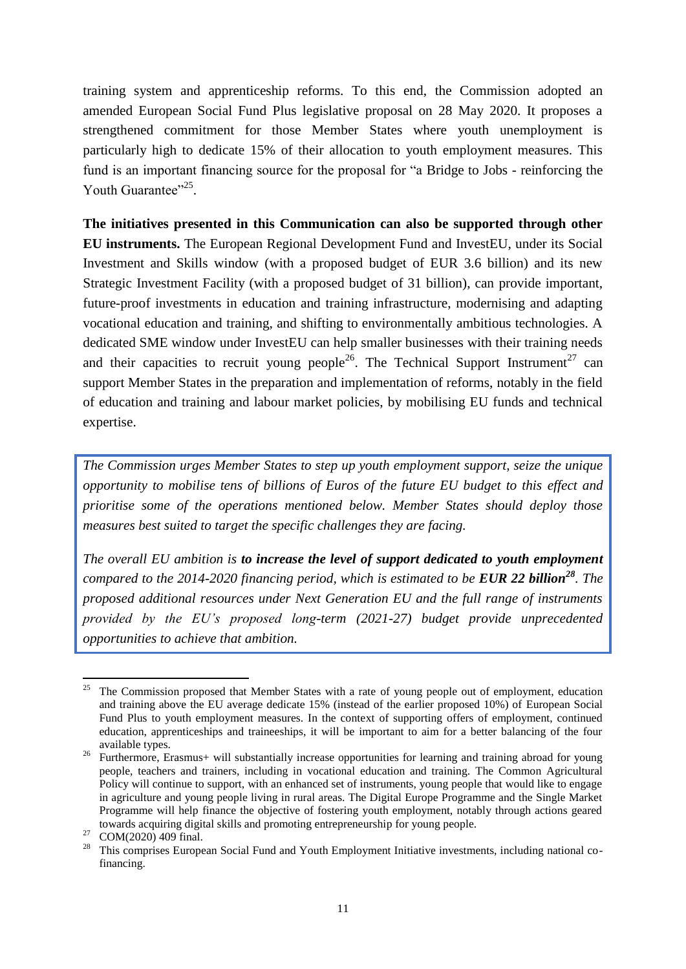training system and apprenticeship reforms. To this end, the Commission adopted an amended European Social Fund Plus legislative proposal on 28 May 2020. It proposes a strengthened commitment for those Member States where youth unemployment is particularly high to dedicate 15% of their allocation to youth employment measures. This fund is an important financing source for the proposal for "a Bridge to Jobs - reinforcing the Youth Guarantee"<sup>25</sup>.

**The initiatives presented in this Communication can also be supported through other EU instruments.** The European Regional Development Fund and InvestEU, under its Social Investment and Skills window (with a proposed budget of EUR 3.6 billion) and its new Strategic Investment Facility (with a proposed budget of 31 billion), can provide important, future-proof investments in education and training infrastructure, modernising and adapting vocational education and training, and shifting to environmentally ambitious technologies. A dedicated SME window under InvestEU can help smaller businesses with their training needs and their capacities to recruit young people<sup>26</sup>. The Technical Support Instrument<sup>27</sup> can support Member States in the preparation and implementation of reforms, notably in the field of education and training and labour market policies, by mobilising EU funds and technical expertise.

*The Commission urges Member States to step up youth employment support, seize the unique opportunity to mobilise tens of billions of Euros of the future EU budget to this effect and prioritise some of the operations mentioned below. Member States should deploy those measures best suited to target the specific challenges they are facing.*

*The overall EU ambition is to increase the level of support dedicated to youth employment compared to the 2014-2020 financing period, which is estimated to be EUR 22 billion<sup>28</sup>. The proposed additional resources under Next Generation EU and the full range of instruments provided by the EU's proposed long-term (2021-27) budget provide unprecedented opportunities to achieve that ambition.* 

<sup>25</sup> <sup>25</sup> The Commission proposed that Member States with a rate of young people out of employment, education and training above the EU average dedicate 15% (instead of the earlier proposed 10%) of European Social Fund Plus to youth employment measures. In the context of supporting offers of employment, continued education, apprenticeships and traineeships, it will be important to aim for a better balancing of the four available types.

<sup>&</sup>lt;sup>26</sup> Furthermore, Erasmus+ will substantially increase opportunities for learning and training abroad for young people, teachers and trainers, including in vocational education and training. The Common Agricultural Policy will continue to support, with an enhanced set of instruments, young people that would like to engage in agriculture and young people living in rural areas. The Digital Europe Programme and the Single Market Programme will help finance the objective of fostering youth employment, notably through actions geared towards acquiring digital skills and promoting entrepreneurship for young people.

 $27$  COM(2020) 409 final.

<sup>&</sup>lt;sup>28</sup> This comprises European Social Fund and Youth Employment Initiative investments, including national cofinancing.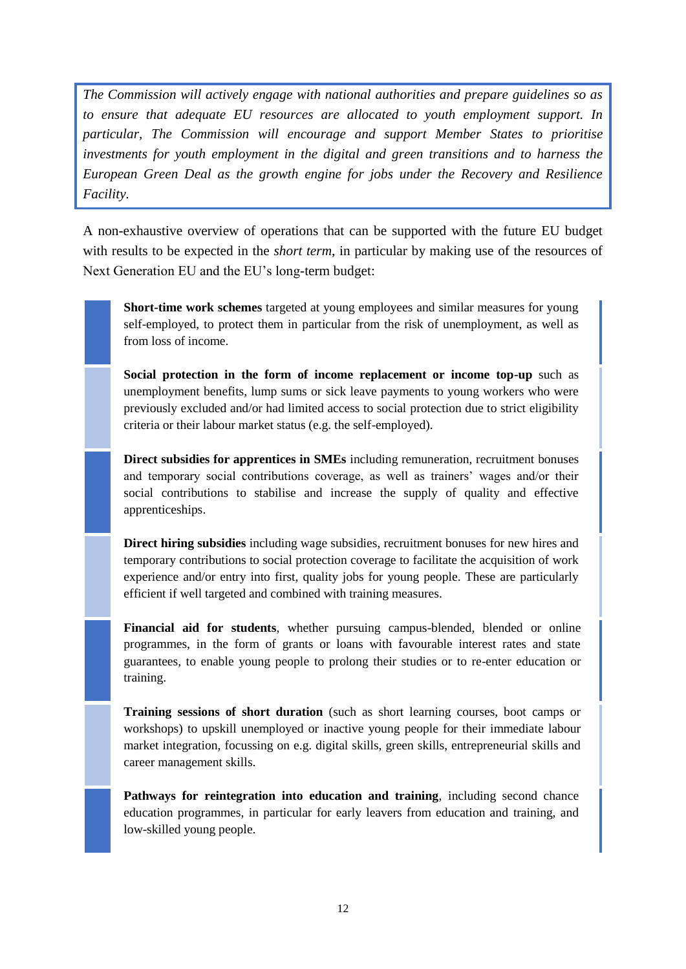*The Commission will actively engage with national authorities and prepare guidelines so as to ensure that adequate EU resources are allocated to youth employment support. In particular, The Commission will encourage and support Member States to prioritise investments for youth employment in the digital and green transitions and to harness the European Green Deal as the growth engine for jobs under the Recovery and Resilience Facility.*

A non-exhaustive overview of operations that can be supported with the future EU budget with results to be expected in the *short term*, in particular by making use of the resources of Next Generation EU and the EU's long-term budget:

**Short-time work schemes** targeted at young employees and similar measures for young self-employed, to protect them in particular from the risk of unemployment, as well as from loss of income.

**Social protection in the form of income replacement or income top-up** such as unemployment benefits, lump sums or sick leave payments to young workers who were previously excluded and/or had limited access to social protection due to strict eligibility criteria or their labour market status (e.g. the self-employed).

**Direct subsidies for apprentices in SMEs** including remuneration, recruitment bonuses and temporary social contributions coverage, as well as trainers' wages and/or their social contributions to stabilise and increase the supply of quality and effective apprenticeships.

**Direct hiring subsidies** including wage subsidies, recruitment bonuses for new hires and temporary contributions to social protection coverage to facilitate the acquisition of work experience and/or entry into first, quality jobs for young people. These are particularly efficient if well targeted and combined with training measures.

**Financial aid for students**, whether pursuing campus-blended, blended or online programmes, in the form of grants or loans with favourable interest rates and state guarantees, to enable young people to prolong their studies or to re-enter education or training.

**Training sessions of short duration** (such as short learning courses, boot camps or workshops) to upskill unemployed or inactive young people for their immediate labour market integration, focussing on e.g. digital skills, green skills, entrepreneurial skills and career management skills.

**Pathways for reintegration into education and training**, including second chance education programmes, in particular for early leavers from education and training, and low-skilled young people.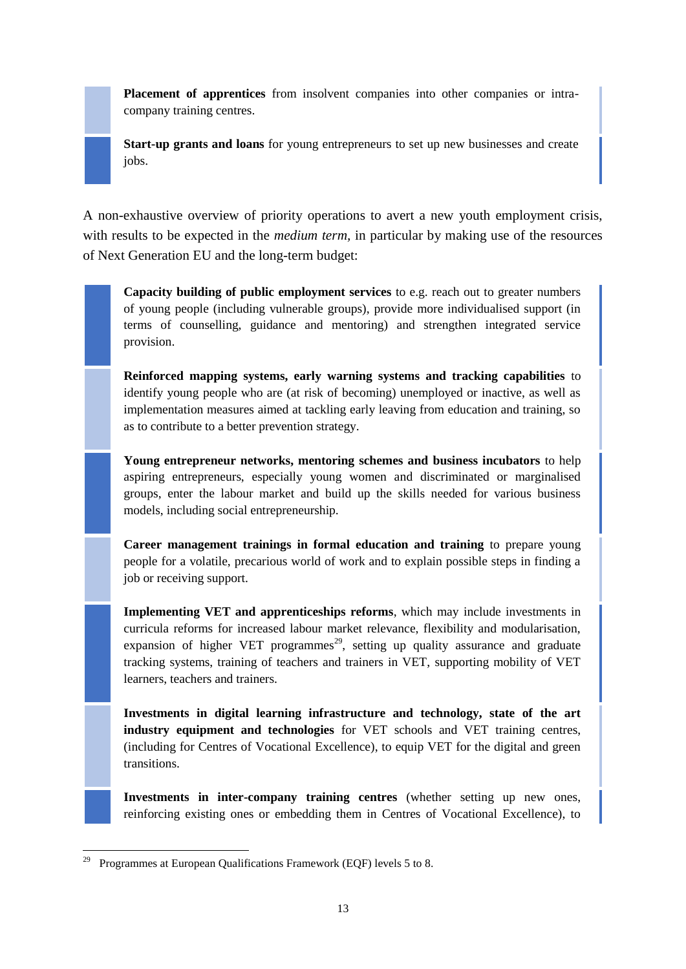**Placement of apprentices** from insolvent companies into other companies or intracompany training centres.

**Start-up grants and loans** for young entrepreneurs to set up new businesses and create jobs.

A non-exhaustive overview of priority operations to avert a new youth employment crisis, with results to be expected in the *medium term*, in particular by making use of the resources of Next Generation EU and the long-term budget:

**Capacity building of public employment services** to e.g. reach out to greater numbers of young people (including vulnerable groups), provide more individualised support (in terms of counselling, guidance and mentoring) and strengthen integrated service provision.

**Reinforced mapping systems, early warning systems and tracking capabilities** to identify young people who are (at risk of becoming) unemployed or inactive, as well as implementation measures aimed at tackling early leaving from education and training, so as to contribute to a better prevention strategy.

**Young entrepreneur networks, mentoring schemes and business incubators** to help aspiring entrepreneurs, especially young women and discriminated or marginalised groups, enter the labour market and build up the skills needed for various business models, including social entrepreneurship.

**Career management trainings in formal education and training** to prepare young people for a volatile, precarious world of work and to explain possible steps in finding a job or receiving support.

**Implementing VET and apprenticeships reforms**, which may include investments in curricula reforms for increased labour market relevance, flexibility and modularisation, expansion of higher VET programmes<sup>29</sup>, setting up quality assurance and graduate tracking systems, training of teachers and trainers in VET, supporting mobility of VET learners, teachers and trainers.

**Investments in digital learning infrastructure and technology, state of the art industry equipment and technologies** for VET schools and VET training centres, (including for Centres of Vocational Excellence), to equip VET for the digital and green transitions.

**Investments in inter-company training centres** (whether setting up new ones, reinforcing existing ones or embedding them in Centres of Vocational Excellence), to

1

<sup>29</sup> Programmes at European Qualifications Framework (EQF) levels 5 to 8.